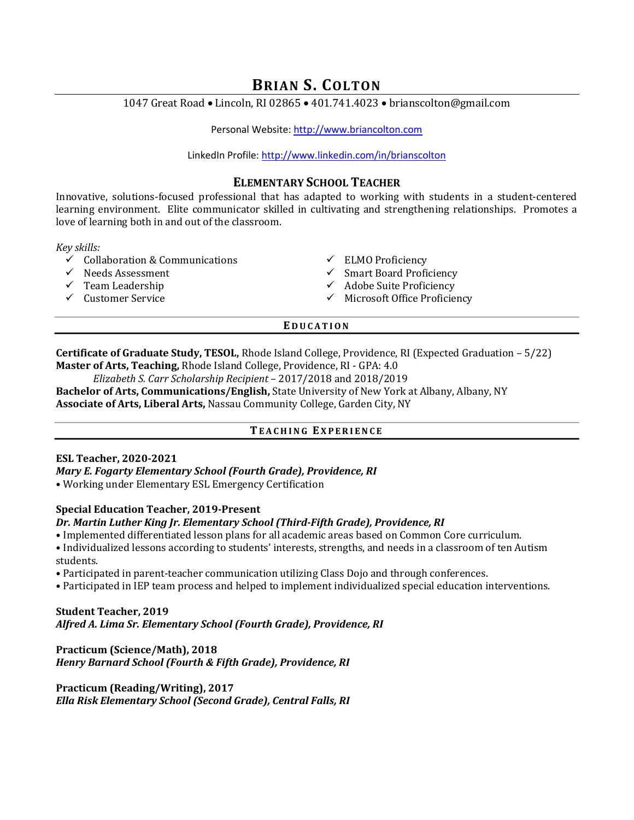# BRIAN S. COLTON

1047 Great Road • Lincoln, RI 02865 • 401.741.4023 • brianscolton@gmail.com

Personal Website: http://www.briancolton.com

LinkedIn Profile: http://www.linkedin.com/in/brianscolton

## ELEMENTARY SCHOOL TEACHER

Innovative, solutions-focused professional that has adapted to working with students in a student-centered learning environment. Elite communicator skilled in cultivating and strengthening relationships. Promotes a love of learning both in and out of the classroom.

Key skills:

- $\begin{array}{ccc}\n\checkmark & \text{Collaboration & \& \text{Communications} & & \checkmark & \text{ELMO Proficiency} \\
\checkmark & \text{Needs Assessment} & & \checkmark & \text{Smart Board Profi}\n\end{array}$
- 
- 
- 
- 
- $\checkmark$  Smart Board Proficiency
- $\checkmark$  Team Leadership  $\checkmark$  Adobe Suite Proficiency
- $\checkmark$  Customer Service  $\checkmark$  Microsoft Office Proficiency

## **EDUCATION**

Certificate of Graduate Study, TESOL, Rhode Island College, Providence, RI (Expected Graduation – 5/22) Master of Arts, Teaching, Rhode Island College, Providence, RI - GPA: 4.0

Elizabeth S. Carr Scholarship Recipient – 2017/2018 and 2018/2019

Bachelor of Arts, Communications/English, State University of New York at Albany, Albany, NY Associate of Arts, Liberal Arts, Nassau Community College, Garden City, NY

## TEACHING EXPERIENCE

## ESL Teacher, 2020-2021

## Mary E. Fogarty Elementary School (Fourth Grade), Providence, RI

• Working under Elementary ESL Emergency Certification

## Special Education Teacher, 2019-Present

## Dr. Martin Luther King Jr. Elementary School (Third-Fifth Grade), Providence, RI

- Implemented differentiated lesson plans for all academic areas based on Common Core curriculum.
- Individualized lessons according to students' interests, strengths, and needs in a classroom of ten Autism students.
- Participated in parent-teacher communication utilizing Class Dojo and through conferences.
- Participated in IEP team process and helped to implement individualized special education interventions.

## Student Teacher, 2019 Alfred A. Lima Sr. Elementary School (Fourth Grade), Providence, RI

Practicum (Science/Math), 2018 Henry Barnard School (Fourth & Fifth Grade), Providence, RI

Practicum (Reading/Writing), 2017 Ella Risk Elementary School (Second Grade), Central Falls, RI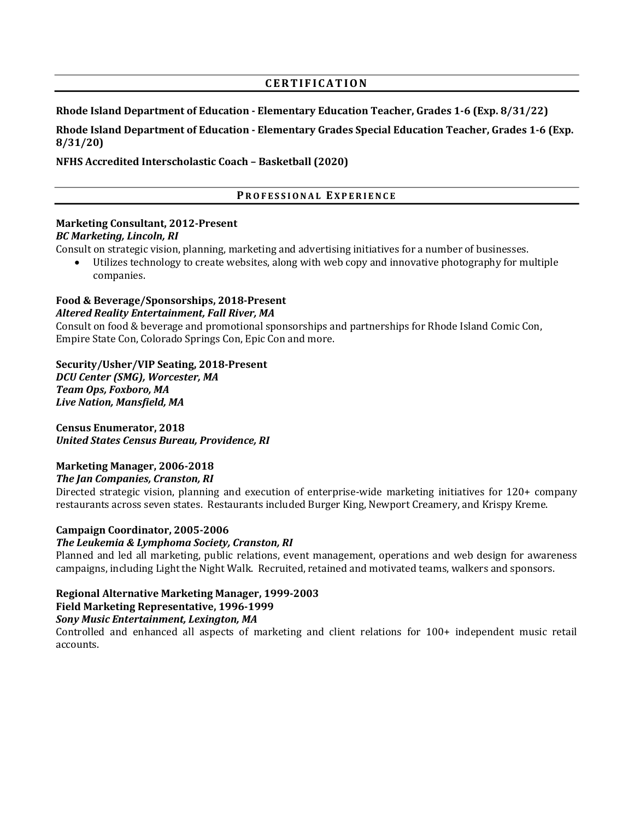## CERTIFICATION

#### Rhode Island Department of Education - Elementary Education Teacher, Grades 1-6 (Exp. 8/31/22)

Rhode Island Department of Education - Elementary Grades Special Education Teacher, Grades 1-6 (Exp. 8/31/20)

NFHS Accredited Interscholastic Coach – Basketball (2020)

## PROFESSIONAL EXPERIENCE

# Marketing Consultant, 2012-Present

## BC Marketing, Lincoln, RI

Consult on strategic vision, planning, marketing and advertising initiatives for a number of businesses.

 Utilizes technology to create websites, along with web copy and innovative photography for multiple companies.

# Food & Beverage/Sponsorships, 2018-Present

#### Altered Reality Entertainment, Fall River, MA

Consult on food & beverage and promotional sponsorships and partnerships for Rhode Island Comic Con, Empire State Con, Colorado Springs Con, Epic Con and more.

Security/Usher/VIP Seating, 2018-Present DCU Center (SMG), Worcester, MA Team Ops, Foxboro, MA Live Nation, Mansfield, MA

Census Enumerator, 2018 United States Census Bureau, Providence, RI

## Marketing Manager, 2006-2018

## The Jan Companies, Cranston, RI

Directed strategic vision, planning and execution of enterprise-wide marketing initiatives for 120+ company restaurants across seven states. Restaurants included Burger King, Newport Creamery, and Krispy Kreme.

## Campaign Coordinator, 2005-2006

## The Leukemia & Lymphoma Society, Cranston, RI

Planned and led all marketing, public relations, event management, operations and web design for awareness campaigns, including Light the Night Walk. Recruited, retained and motivated teams, walkers and sponsors.

## Regional Alternative Marketing Manager, 1999-2003

## Field Marketing Representative, 1996-1999

## Sony Music Entertainment, Lexington, MA

Controlled and enhanced all aspects of marketing and client relations for 100+ independent music retail accounts.